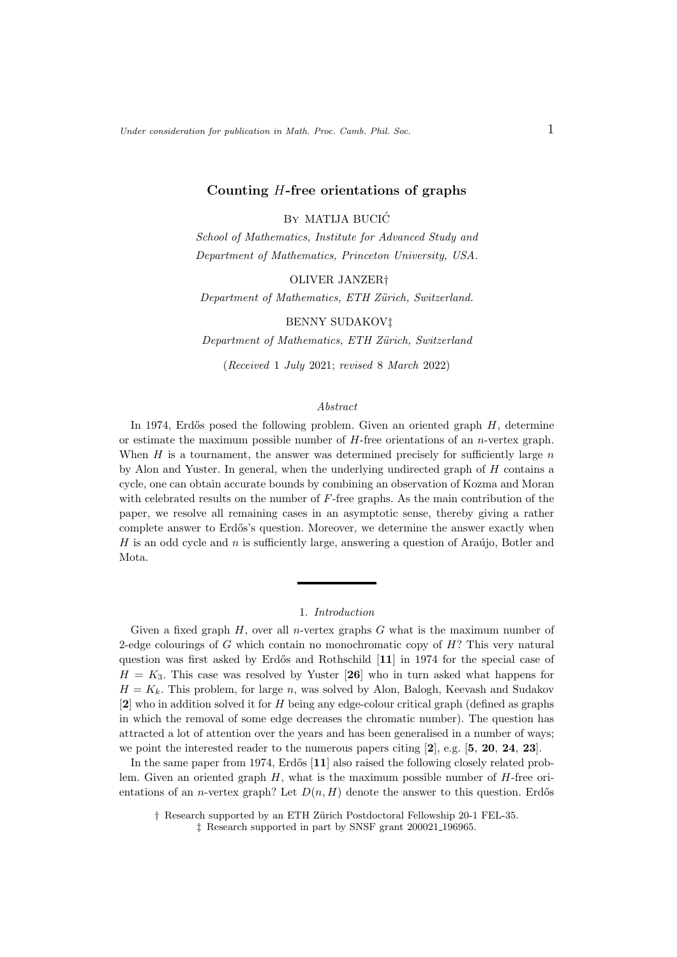# Counting H-free orientations of graphs

By MATIJA BUCIC´

School of Mathematics, Institute for Advanced Study and Department of Mathematics, Princeton University, USA.

OLIVER JANZER† Department of Mathematics, ETH Zürich, Switzerland.

BENNY SUDAKOV‡

Department of Mathematics, ETH Zürich, Switzerland

(Received 1 July 2021; revised 8 March 2022)

### Abstract

In 1974, Erdős posed the following problem. Given an oriented graph  $H$ , determine or estimate the maximum possible number of  $H$ -free orientations of an *n*-vertex graph. When  $H$  is a tournament, the answer was determined precisely for sufficiently large  $n$ by Alon and Yuster. In general, when the underlying undirected graph of H contains a cycle, one can obtain accurate bounds by combining an observation of Kozma and Moran with celebrated results on the number of  $F$ -free graphs. As the main contribution of the paper, we resolve all remaining cases in an asymptotic sense, thereby giving a rather complete answer to Erdős's question. Moreover, we determine the answer exactly when  $H$  is an odd cycle and n is sufficiently large, answering a question of Araújo, Botler and Mota.

#### 1. Introduction

Given a fixed graph  $H$ , over all *n*-vertex graphs  $G$  what is the maximum number of 2-edge colourings of  $G$  which contain no monochromatic copy of  $H$ ? This very natural question was first asked by Erdős and Rothschild  $[11]$  in 1974 for the special case of  $H = K_3$ . This case was resolved by Yuster [26] who in turn asked what happens for  $H = K_k$ . This problem, for large n, was solved by Alon, Balogh, Keevash and Sudakov [2] who in addition solved it for H being any edge-colour critical graph (defined as graphs in which the removal of some edge decreases the chromatic number). The question has attracted a lot of attention over the years and has been generalised in a number of ways; we point the interested reader to the numerous papers citing  $[2]$ , e.g.  $[5, 20, 24, 23]$ .

In the same paper from 1974, Erdős [11] also raised the following closely related problem. Given an oriented graph  $H$ , what is the maximum possible number of  $H$ -free orientations of an *n*-vertex graph? Let  $D(n, H)$  denote the answer to this question. Erdős

† Research supported by an ETH Z¨urich Postdoctoral Fellowship 20-1 FEL-35.

‡ Research supported in part by SNSF grant 200021 196965.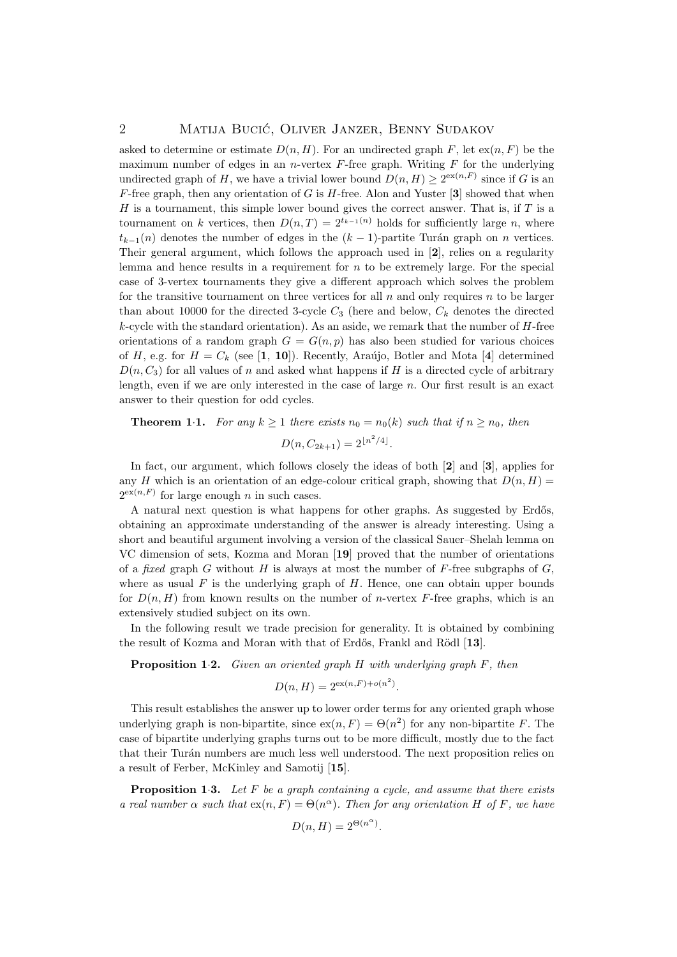asked to determine or estimate  $D(n, H)$ . For an undirected graph F, let  $\exp(n, F)$  be the maximum number of edges in an *n*-vertex  $F$ -free graph. Writing  $F$  for the underlying undirected graph of H, we have a trivial lower bound  $D(n, H) \geq 2^{\exp(n, F)}$  since if G is an F-free graph, then any orientation of G is  $H$ -free. Alon and Yuster [3] showed that when  $H$  is a tournament, this simple lower bound gives the correct answer. That is, if  $T$  is a tournament on k vertices, then  $D(n,T) = 2^{t_{k-1}(n)}$  holds for sufficiently large n, where  $t_{k-1}(n)$  denotes the number of edges in the  $(k-1)$ -partite Turán graph on n vertices. Their general argument, which follows the approach used in [2], relies on a regularity lemma and hence results in a requirement for  $n$  to be extremely large. For the special case of 3-vertex tournaments they give a different approach which solves the problem for the transitive tournament on three vertices for all  $n$  and only requires  $n$  to be larger than about 10000 for the directed 3-cycle  $C_3$  (here and below,  $C_k$  denotes the directed  $k$ -cycle with the standard orientation). As an aside, we remark that the number of  $H$ -free orientations of a random graph  $G = G(n, p)$  has also been studied for various choices of H, e.g. for  $H = C_k$  (see [1, 10]). Recently, Araújo, Botler and Mota [4] determined  $D(n, C_3)$  for all values of n and asked what happens if H is a directed cycle of arbitrary length, even if we are only interested in the case of large n. Our first result is an exact answer to their question for odd cycles.

**Theorem 1·1.** For any  $k \ge 1$  there exists  $n_0 = n_0(k)$  such that if  $n \ge n_0$ , then

$$
D(n, C_{2k+1}) = 2^{\lfloor n^2/4 \rfloor}.
$$

In fact, our argument, which follows closely the ideas of both  $[2]$  and  $[3]$ , applies for any H which is an orientation of an edge-colour critical graph, showing that  $D(n, H)$  $2^{\text{ex}(n,F)}$  for large enough n in such cases.

A natural next question is what happens for other graphs. As suggested by Erdős, obtaining an approximate understanding of the answer is already interesting. Using a short and beautiful argument involving a version of the classical Sauer–Shelah lemma on VC dimension of sets, Kozma and Moran [19] proved that the number of orientations of a fixed graph G without H is always at most the number of  $F$ -free subgraphs of  $G$ , where as usual  $F$  is the underlying graph of  $H$ . Hence, one can obtain upper bounds for  $D(n, H)$  from known results on the number of *n*-vertex F-free graphs, which is an extensively studied subject on its own.

In the following result we trade precision for generality. It is obtained by combining the result of Kozma and Moran with that of Erdős, Frankl and Rödl [13].

**Proposition 1.2.** Given an oriented graph  $H$  with underlying graph  $F$ , then

$$
D(n, H) = 2^{\exp(n, F) + o(n^2)}.
$$

This result establishes the answer up to lower order terms for any oriented graph whose underlying graph is non-bipartite, since  $ex(n, F) = \Theta(n^2)$  for any non-bipartite F. The case of bipartite underlying graphs turns out to be more difficult, mostly due to the fact that their Turán numbers are much less well understood. The next proposition relies on a result of Ferber, McKinley and Samotij [15].

**Proposition 1.3.** Let F be a graph containing a cycle, and assume that there exists a real number  $\alpha$  such that  $ex(n, F) = \Theta(n^{\alpha})$ . Then for any orientation H of F, we have

$$
D(n, H) = 2^{\Theta(n^{\alpha})}.
$$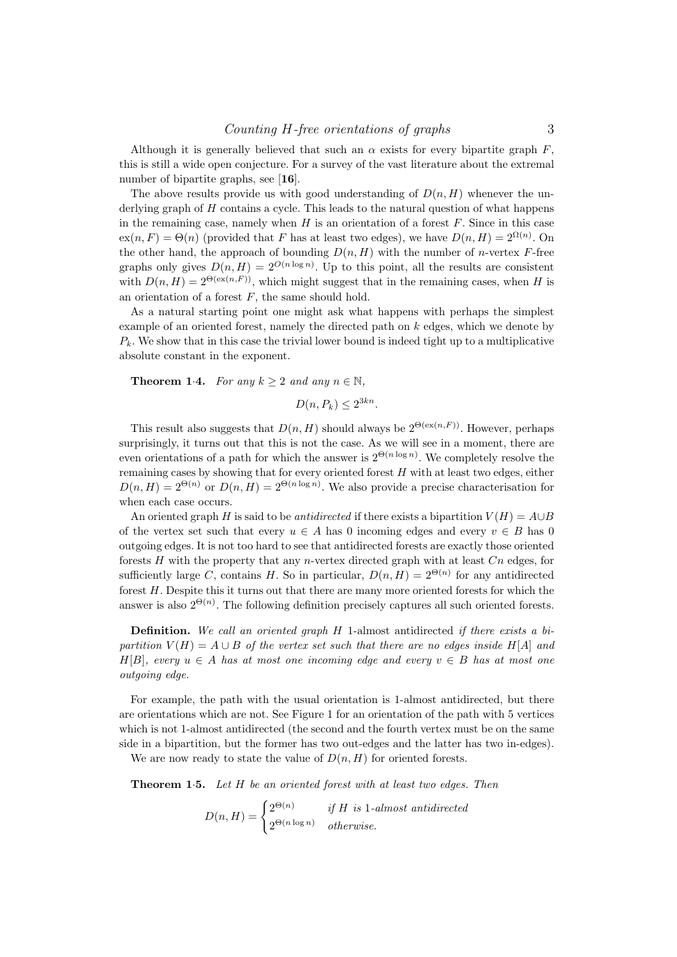Although it is generally believed that such an  $\alpha$  exists for every bipartite graph  $F$ , this is still a wide open conjecture. For a survey of the vast literature about the extremal number of bipartite graphs, see [16].

The above results provide us with good understanding of  $D(n, H)$  whenever the underlying graph of  $H$  contains a cycle. This leads to the natural question of what happens in the remaining case, namely when  $H$  is an orientation of a forest  $F$ . Since in this case  $ex(n, F) = \Theta(n)$  (provided that F has at least two edges), we have  $D(n, H) = 2^{\Omega(n)}$ . On the other hand, the approach of bounding  $D(n, H)$  with the number of *n*-vertex F-free graphs only gives  $D(n, H) = 2^{O(n \log n)}$ . Up to this point, all the results are consistent with  $D(n, H) = 2^{\Theta(\text{ex}(n, F))}$ , which might suggest that in the remaining cases, when H is an orientation of a forest  $F$ , the same should hold.

As a natural starting point one might ask what happens with perhaps the simplest example of an oriented forest, namely the directed path on  $k$  edges, which we denote by  $P_k$ . We show that in this case the trivial lower bound is indeed tight up to a multiplicative absolute constant in the exponent.

**Theorem 1.4.** For any  $k \geq 2$  and any  $n \in \mathbb{N}$ ,

$$
D(n, P_k) \le 2^{3kn}.
$$

This result also suggests that  $D(n, H)$  should always be  $2^{\Theta(\text{ex}(n, F))}$ . However, perhaps surprisingly, it turns out that this is not the case. As we will see in a moment, there are even orientations of a path for which the answer is  $2^{\Theta(n \log n)}$ . We completely resolve the remaining cases by showing that for every oriented forest  $H$  with at least two edges, either  $D(n, H) = 2^{\Theta(n)}$  or  $D(n, H) = 2^{\Theta(n \log n)}$ . We also provide a precise characterisation for when each case occurs.

An oriented graph H is said to be *antidirected* if there exists a bipartition  $V(H) = A \cup B$ of the vertex set such that every  $u \in A$  has 0 incoming edges and every  $v \in B$  has 0 outgoing edges. It is not too hard to see that antidirected forests are exactly those oriented forests  $H$  with the property that any *n*-vertex directed graph with at least  $C_n$  edges, for sufficiently large C, contains H. So in particular,  $D(n, H) = 2^{\Theta(n)}$  for any antidirected forest H. Despite this it turns out that there are many more oriented forests for which the answer is also  $2^{\Theta(n)}$ . The following definition precisely captures all such oriented forests.

**Definition.** We call an oriented graph  $H$  1-almost antidirected if there exists a bipartition  $V(H) = A \cup B$  of the vertex set such that there are no edges inside H[A] and  $H[B]$ , every  $u \in A$  has at most one incoming edge and every  $v \in B$  has at most one outgoing edge.

For example, the path with the usual orientation is 1-almost antidirected, but there are orientations which are not. See Figure 1 for an orientation of the path with 5 vertices which is not 1-almost antidirected (the second and the fourth vertex must be on the same side in a bipartition, but the former has two out-edges and the latter has two in-edges).

We are now ready to state the value of  $D(n, H)$  for oriented forests.

Theorem 1·5. Let H be an oriented forest with at least two edges. Then

$$
D(n, H) = \begin{cases} 2^{\Theta(n)} & \text{if } H \text{ is 1-almost antidirected} \\ 2^{\Theta(n \log n)} & \text{otherwise.} \end{cases}
$$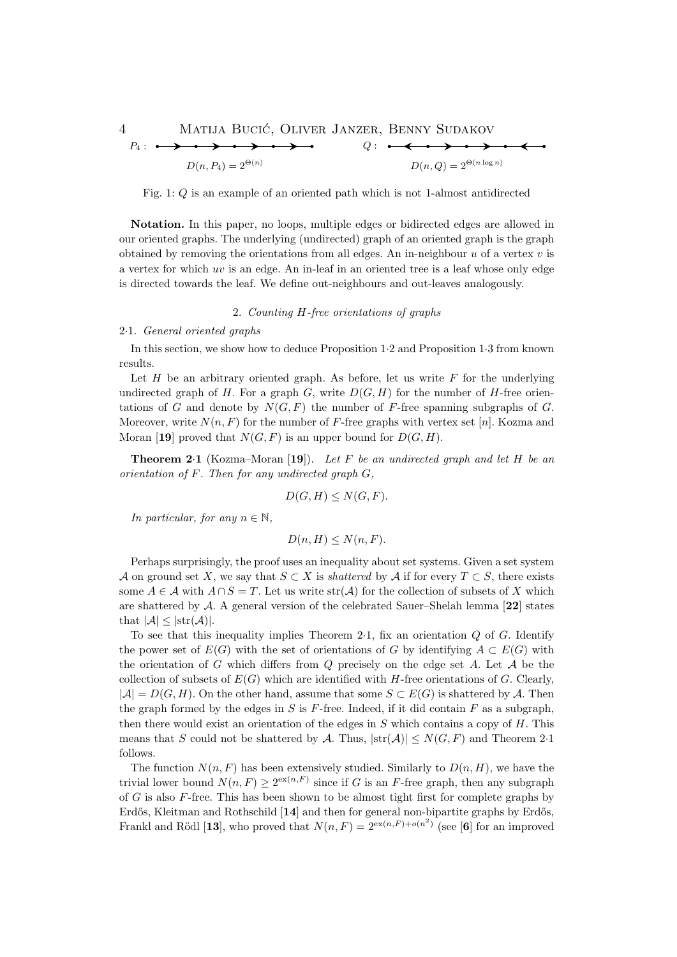4 Matija Bucic, Oliver Janzer, Benny Sudakov ´ Q : D(n, Q) = 2Θ(<sup>n</sup> log <sup>n</sup>) P<sup>4</sup> : D(n, P4) = 2Θ(n)

Fig. 1: Q is an example of an oriented path which is not 1-almost antidirected

Notation. In this paper, no loops, multiple edges or bidirected edges are allowed in our oriented graphs. The underlying (undirected) graph of an oriented graph is the graph obtained by removing the orientations from all edges. An in-neighbour  $u$  of a vertex  $v$  is a vertex for which uv is an edge. An in-leaf in an oriented tree is a leaf whose only edge is directed towards the leaf. We define out-neighbours and out-leaves analogously.

### 2. Counting H-free orientations of graphs

### 2·1. General oriented graphs

In this section, we show how to deduce Proposition 1·2 and Proposition 1·3 from known results.

Let  $H$  be an arbitrary oriented graph. As before, let us write  $F$  for the underlying undirected graph of H. For a graph  $G$ , write  $D(G, H)$  for the number of H-free orientations of G and denote by  $N(G, F)$  the number of F-free spanning subgraphs of G. Moreover, write  $N(n, F)$  for the number of F-free graphs with vertex set [n]. Kozma and Moran [19] proved that  $N(G, F)$  is an upper bound for  $D(G, H)$ .

**Theorem 2.1** (Kozma–Moran [19]). Let F be an undirected graph and let H be an orientation of F. Then for any undirected graph G,

$$
D(G, H) \le N(G, F).
$$

In particular, for any  $n \in \mathbb{N}$ ,

$$
D(n, H) \le N(n, F).
$$

Perhaps surprisingly, the proof uses an inequality about set systems. Given a set system A on ground set X, we say that  $S \subset X$  is *shattered* by A if for every  $T \subset S$ , there exists some  $A \in \mathcal{A}$  with  $A \cap S = T$ . Let us write  $str(\mathcal{A})$  for the collection of subsets of X which are shattered by A. A general version of the celebrated Sauer–Shelah lemma [22] states that  $|\mathcal{A}| \leq |\text{str}(\mathcal{A})|$ .

To see that this inequality implies Theorem 2.1, fix an orientation  $Q$  of  $G$ . Identify the power set of  $E(G)$  with the set of orientations of G by identifying  $A \subset E(G)$  with the orientation of G which differs from  $Q$  precisely on the edge set A. Let  $A$  be the collection of subsets of  $E(G)$  which are identified with H-free orientations of G. Clearly,  $|\mathcal{A}| = D(G, H)$ . On the other hand, assume that some  $S \subset E(G)$  is shattered by A. Then the graph formed by the edges in S is F-free. Indeed, if it did contain  $F$  as a subgraph, then there would exist an orientation of the edges in  $S$  which contains a copy of  $H$ . This means that S could not be shattered by A. Thus,  $|\text{str}(\mathcal{A})| \leq N(G, F)$  and Theorem 2.1 follows.

The function  $N(n, F)$  has been extensively studied. Similarly to  $D(n, H)$ , we have the trivial lower bound  $N(n, F) \geq 2^{\text{ex}(n, F)}$  since if G is an F-free graph, then any subgraph of  $G$  is also  $F$ -free. This has been shown to be almost tight first for complete graphs by Erdős, Kleitman and Rothschild [14] and then for general non-bipartite graphs by Erdős, Frankl and Rödl [13], who proved that  $N(n, F) = 2^{\text{ex}(n, F) + o(n^2)}$  (see [6] for an improved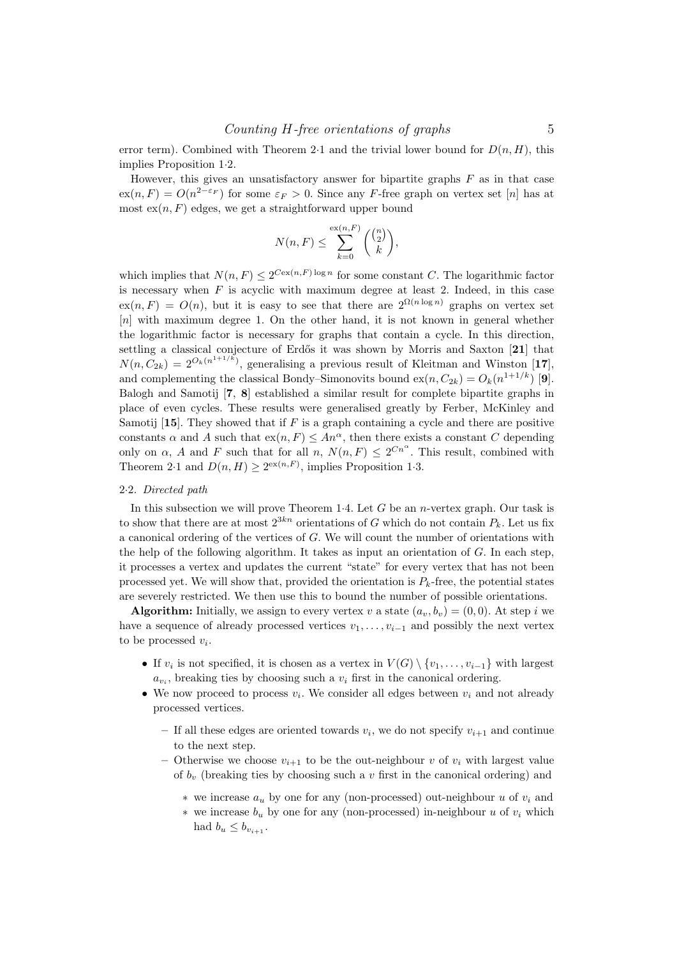error term). Combined with Theorem 2.1 and the trivial lower bound for  $D(n, H)$ , this implies Proposition 1·2.

However, this gives an unsatisfactory answer for bipartite graphs  $F$  as in that case  $ex(n, F) = O(n^{2-\epsilon_F})$  for some  $\epsilon_F > 0$ . Since any F-free graph on vertex set [n] has at most  $ex(n, F)$  edges, we get a straightforward upper bound

$$
N(n, F) \le \sum_{k=0}^{\exp(n, F)} \binom{\binom{n}{2}}{k},
$$

which implies that  $N(n, F) \leq 2^{C \cdot (n, F) \cdot \log n}$  for some constant C. The logarithmic factor is necessary when  $F$  is acyclic with maximum degree at least 2. Indeed, in this case  $ex(n, F) = O(n)$ , but it is easy to see that there are  $2^{\Omega(n \log n)}$  graphs on vertex set [n] with maximum degree 1. On the other hand, it is not known in general whether the logarithmic factor is necessary for graphs that contain a cycle. In this direction, settling a classical conjecture of Erdős it was shown by Morris and Saxton [21] that  $N(n, C_{2k}) = 2^{O_k(n^{1+1/k})}$ , generalising a previous result of Kleitman and Winston [17], and complementing the classical Bondy–Simonovits bound  $ex(n, C_{2k}) = O_k(n^{1+1/k})$  [9]. Balogh and Samotij [7, 8] established a similar result for complete bipartite graphs in place of even cycles. These results were generalised greatly by Ferber, McKinley and Samotij  $[15]$ . They showed that if F is a graph containing a cycle and there are positive constants  $\alpha$  and A such that  $ex(n, F) \leq An^{\alpha}$ , then there exists a constant C depending only on  $\alpha$ , A and F such that for all n,  $N(n, F) \leq 2^{Cn^{\alpha}}$ . This result, combined with Theorem 2.1 and  $D(n, H) \geq 2^{\text{ex}(n, F)}$ , implies Proposition 1.3.

### 2·2. Directed path

In this subsection we will prove Theorem 1.4. Let  $G$  be an *n*-vertex graph. Our task is to show that there are at most  $2^{3kn}$  orientations of G which do not contain  $P_k$ . Let us fix a canonical ordering of the vertices of G. We will count the number of orientations with the help of the following algorithm. It takes as input an orientation of  $G$ . In each step, it processes a vertex and updates the current "state" for every vertex that has not been processed yet. We will show that, provided the orientation is  $P_k$ -free, the potential states are severely restricted. We then use this to bound the number of possible orientations.

**Algorithm:** Initially, we assign to every vertex v a state  $(a_v, b_v) = (0, 0)$ . At step i we have a sequence of already processed vertices  $v_1, \ldots, v_{i-1}$  and possibly the next vertex to be processed  $v_i$ .

- If  $v_i$  is not specified, it is chosen as a vertex in  $V(G) \setminus \{v_1, \ldots, v_{i-1}\}\$  with largest  $a_{v_i}$ , breaking ties by choosing such a  $v_i$  first in the canonical ordering.
- We now proceed to process  $v_i$ . We consider all edges between  $v_i$  and not already processed vertices.
	- If all these edges are oriented towards  $v_i$ , we do not specify  $v_{i+1}$  and continue to the next step.
	- Otherwise we choose  $v_{i+1}$  to be the out-neighbour v of  $v_i$  with largest value of  $b_v$  (breaking ties by choosing such a v first in the canonical ordering) and
		- we increase  $a_u$  by one for any (non-processed) out-neighbour u of  $v_i$  and
		- we increase  $b_u$  by one for any (non-processed) in-neighbour u of  $v_i$  which had  $b_u \leq b_{v_{i+1}}$ .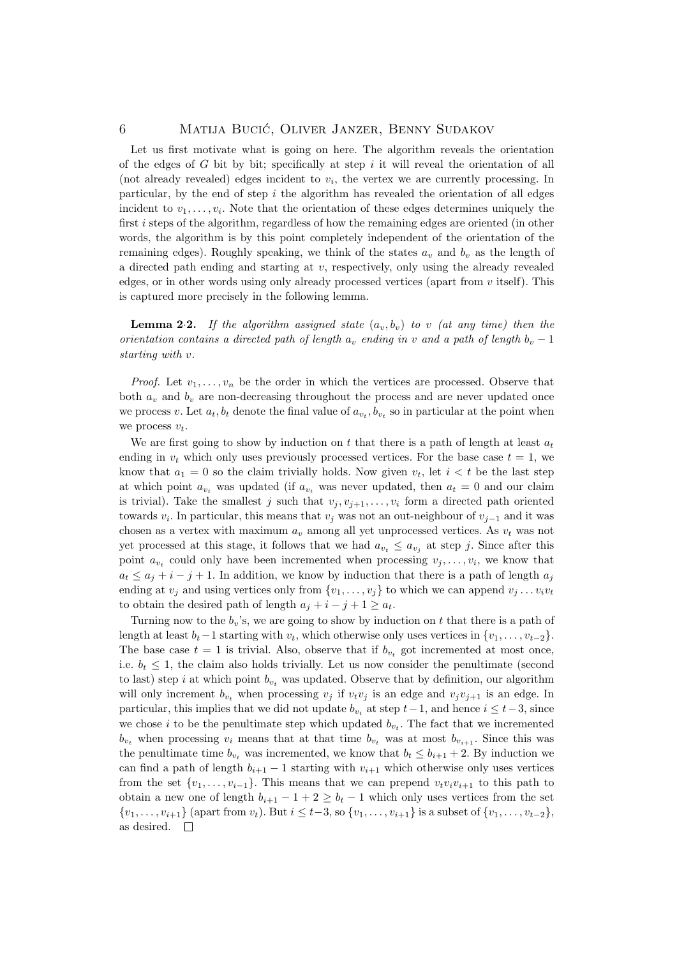Let us first motivate what is going on here. The algorithm reveals the orientation of the edges of G bit by bit; specifically at step i it will reveal the orientation of all (not already revealed) edges incident to  $v_i$ , the vertex we are currently processing. In particular, by the end of step  $i$  the algorithm has revealed the orientation of all edges incident to  $v_1, \ldots, v_i$ . Note that the orientation of these edges determines uniquely the first *i* steps of the algorithm, regardless of how the remaining edges are oriented (in other words, the algorithm is by this point completely independent of the orientation of the remaining edges). Roughly speaking, we think of the states  $a_v$  and  $b_v$  as the length of a directed path ending and starting at  $v$ , respectively, only using the already revealed edges, or in other words using only already processed vertices (apart from  $v$  itself). This is captured more precisely in the following lemma.

**Lemma 2.2.** If the algorithm assigned state  $(a_v, b_v)$  to v (at any time) then the orientation contains a directed path of length  $a_v$  ending in v and a path of length  $b_v - 1$ starting with v.

*Proof.* Let  $v_1, \ldots, v_n$  be the order in which the vertices are processed. Observe that both  $a_v$  and  $b_v$  are non-decreasing throughout the process and are never updated once we process v. Let  $a_t, b_t$  denote the final value of  $a_{v_t}, b_{v_t}$  so in particular at the point when we process  $v_t$ .

We are first going to show by induction on t that there is a path of length at least  $a_t$ ending in  $v_t$  which only uses previously processed vertices. For the base case  $t = 1$ , we know that  $a_1 = 0$  so the claim trivially holds. Now given  $v_t$ , let  $i < t$  be the last step at which point  $a_{v_t}$  was updated (if  $a_{v_t}$  was never updated, then  $a_t = 0$  and our claim is trivial). Take the smallest j such that  $v_j, v_{j+1}, \ldots, v_i$  form a directed path oriented towards  $v_i$ . In particular, this means that  $v_j$  was not an out-neighbour of  $v_{j-1}$  and it was chosen as a vertex with maximum  $a_v$  among all yet unprocessed vertices. As  $v_t$  was not yet processed at this stage, it follows that we had  $a_{v_t} \le a_{v_j}$  at step j. Since after this point  $a_{v_t}$  could only have been incremented when processing  $v_j, \ldots, v_i$ , we know that  $a_t \le a_j + i - j + 1$ . In addition, we know by induction that there is a path of length  $a_j$ ending at  $v_i$  and using vertices only from  $\{v_1, \ldots, v_j\}$  to which we can append  $v_j \ldots v_i v_t$ to obtain the desired path of length  $a_j + i - j + 1 \ge a_t$ .

Turning now to the  $b_v$ 's, we are going to show by induction on t that there is a path of length at least  $b_t-1$  starting with  $v_t$ , which otherwise only uses vertices in  $\{v_1, \ldots, v_{t-2}\}.$ The base case  $t = 1$  is trivial. Also, observe that if  $b_{v_t}$  got incremented at most once, i.e.  $b_t \leq 1$ , the claim also holds trivially. Let us now consider the penultimate (second to last) step i at which point  $b_{v_t}$  was updated. Observe that by definition, our algorithm will only increment  $b_{v_t}$  when processing  $v_j$  if  $v_tv_j$  is an edge and  $v_jv_{j+1}$  is an edge. In particular, this implies that we did not update  $b_{v_t}$  at step  $t-1$ , and hence  $i \leq t-3$ , since we chose i to be the penultimate step which updated  $b_{v_t}$ . The fact that we incremented  $b_{v_t}$  when processing  $v_i$  means that at that time  $b_{v_t}$  was at most  $b_{v_{i+1}}$ . Since this was the penultimate time  $b_v$ , was incremented, we know that  $b_t \leq b_{i+1} + 2$ . By induction we can find a path of length  $b_{i+1} - 1$  starting with  $v_{i+1}$  which otherwise only uses vertices from the set  $\{v_1, \ldots, v_{i-1}\}$ . This means that we can prepend  $v_t v_i v_{i+1}$  to this path to obtain a new one of length  $b_{i+1} - 1 + 2 \ge b_i - 1$  which only uses vertices from the set  $\{v_1, \ldots, v_{i+1}\}$  (apart from  $v_t$ ). But  $i \leq t-3$ , so  $\{v_1, \ldots, v_{i+1}\}$  is a subset of  $\{v_1, \ldots, v_{t-2}\}$ , as desired.  $\quad \Box$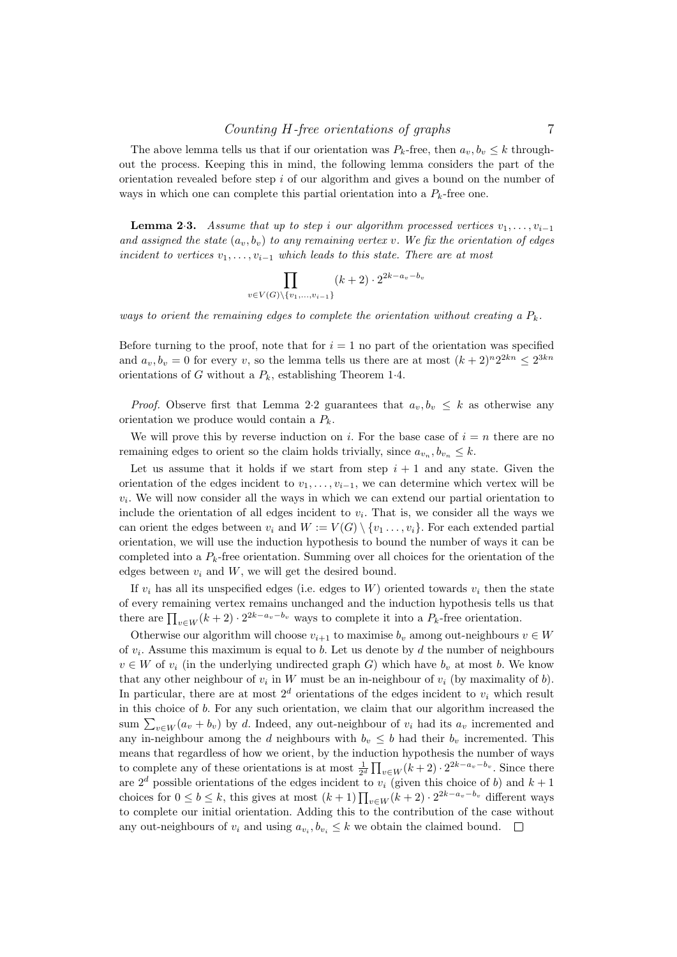The above lemma tells us that if our orientation was  $P_k$ -free, then  $a_v, b_v \leq k$  throughout the process. Keeping this in mind, the following lemma considers the part of the orientation revealed before step  $i$  of our algorithm and gives a bound on the number of ways in which one can complete this partial orientation into a  $P_k$ -free one.

**Lemma 2·3.** Assume that up to step i our algorithm processed vertices  $v_1, \ldots, v_{i-1}$ and assigned the state  $(a_v, b_v)$  to any remaining vertex v. We fix the orientation of edges incident to vertices  $v_1, \ldots, v_{i-1}$  which leads to this state. There are at most

$$
\prod_{v \in V(G) \setminus \{v_1, \dots, v_{i-1}\}} (k+2) \cdot 2^{2k - a_v - b_v}
$$

ways to orient the remaining edges to complete the orientation without creating a  $P_k$ .

Before turning to the proof, note that for  $i = 1$  no part of the orientation was specified and  $a_v, b_v = 0$  for every v, so the lemma tells us there are at most  $(k+2)^{n}2^{2kn} \leq 2^{3kn}$ orientations of G without a  $P_k$ , establishing Theorem 1.4.

*Proof.* Observe first that Lemma 2.2 guarantees that  $a_v, b_v \leq k$  as otherwise any orientation we produce would contain a  $P_k$ .

We will prove this by reverse induction on i. For the base case of  $i = n$  there are no remaining edges to orient so the claim holds trivially, since  $a_{v_n}, b_{v_n} \leq k$ .

Let us assume that it holds if we start from step  $i + 1$  and any state. Given the orientation of the edges incident to  $v_1, \ldots, v_{i-1}$ , we can determine which vertex will be  $v_i$ . We will now consider all the ways in which we can extend our partial orientation to include the orientation of all edges incident to  $v_i$ . That is, we consider all the ways we can orient the edges between  $v_i$  and  $W := V(G) \setminus \{v_1, \ldots, v_i\}$ . For each extended partial orientation, we will use the induction hypothesis to bound the number of ways it can be completed into a  $P_k$ -free orientation. Summing over all choices for the orientation of the edges between  $v_i$  and  $W$ , we will get the desired bound.

If  $v_i$  has all its unspecified edges (i.e. edges to W) oriented towards  $v_i$  then the state of every remaining vertex remains unchanged and the induction hypothesis tells us that there are  $\prod_{v \in W} (k+2) \cdot 2^{2k-a_v-b_v}$  ways to complete it into a  $P_k$ -free orientation.

Otherwise our algorithm will choose  $v_{i+1}$  to maximise  $b_v$  among out-neighbours  $v \in W$ of  $v_i$ . Assume this maximum is equal to b. Let us denote by d the number of neighbours  $v \in W$  of  $v_i$  (in the underlying undirected graph G) which have  $b_v$  at most b. We know that any other neighbour of  $v_i$  in W must be an in-neighbour of  $v_i$  (by maximality of b). In particular, there are at most  $2^d$  orientations of the edges incident to  $v_i$  which result in this choice of b. For any such orientation, we claim that our algorithm increased the sum  $\sum_{v \in W} (a_v + b_v)$  by d. Indeed, any out-neighbour of  $v_i$  had its  $a_v$  incremented and any in-neighbour among the d neighbours with  $b_v \leq b$  had their  $b_v$  incremented. This means that regardless of how we orient, by the induction hypothesis the number of ways to complete any of these orientations is at most  $\frac{1}{2^d} \prod_{v \in W} (k+2) \cdot 2^{2k-a_v-b_v}$ . Since there are  $2^d$  possible orientations of the edges incident to  $v_i$  (given this choice of b) and  $k+1$ choices for  $0 \leq b \leq k$ , this gives at most  $(k+1) \prod_{v \in W} (k+2) \cdot 2^{2k-a_v-b_v}$  different ways to complete our initial orientation. Adding this to the contribution of the case without any out-neighbours of  $v_i$  and using  $a_{v_i}, b_{v_i} \leq k$  we obtain the claimed bound.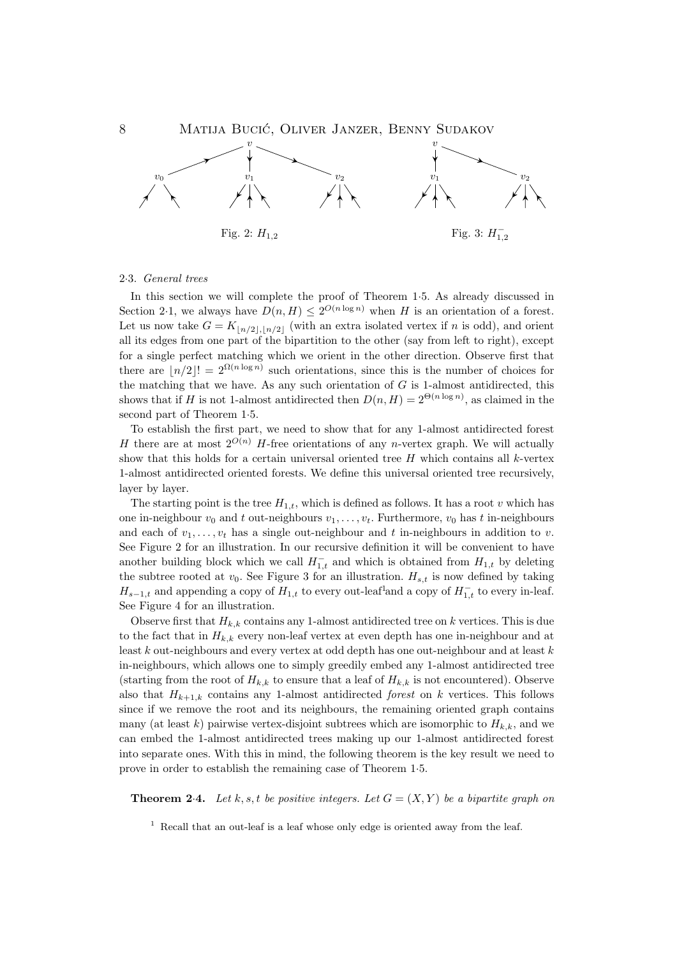

#### 2·3. General trees

In this section we will complete the proof of Theorem 1·5. As already discussed in Section 2.1, we always have  $D(n, H) \leq 2^{O(n \log n)}$  when H is an orientation of a forest. Let us now take  $G = K_{\lfloor n/2 \rfloor, \lfloor n/2 \rfloor}$  (with an extra isolated vertex if n is odd), and orient all its edges from one part of the bipartition to the other (say from left to right), except for a single perfect matching which we orient in the other direction. Observe first that there are  $\lfloor n/2 \rfloor! = 2^{\Omega(n \log n)}$  such orientations, since this is the number of choices for the matching that we have. As any such orientation of  $G$  is 1-almost antidirected, this shows that if H is not 1-almost antidirected then  $D(n, H) = 2^{\Theta(n \log n)}$ , as claimed in the second part of Theorem 1·5.

To establish the first part, we need to show that for any 1-almost antidirected forest H there are at most  $2^{O(n)}$  H-free orientations of any n-vertex graph. We will actually show that this holds for a certain universal oriented tree  $H$  which contains all  $k$ -vertex 1-almost antidirected oriented forests. We define this universal oriented tree recursively, layer by layer.

The starting point is the tree  $H_{1,t}$ , which is defined as follows. It has a root v which has one in-neighbour  $v_0$  and t out-neighbours  $v_1, \ldots, v_t$ . Furthermore,  $v_0$  has t in-neighbours and each of  $v_1, \ldots, v_t$  has a single out-neighbour and t in-neighbours in addition to v. See Figure 2 for an illustration. In our recursive definition it will be convenient to have another building block which we call  $H_{1,t}^-$  and which is obtained from  $H_{1,t}$  by deleting the subtree rooted at  $v_0$ . See Figure 3 for an illustration.  $H_{s,t}$  is now defined by taking  $H_{s-1,t}$  and appending a copy of  $H_{1,t}$  to every out-leaf<sup>1</sup>and a copy of  $H_{1,t}^-$  to every in-leaf. See Figure 4 for an illustration.

Observe first that  $H_{k,k}$  contains any 1-almost antidirected tree on k vertices. This is due to the fact that in  $H_{k,k}$  every non-leaf vertex at even depth has one in-neighbour and at least  $k$  out-neighbours and every vertex at odd depth has one out-neighbour and at least  $k$ in-neighbours, which allows one to simply greedily embed any 1-almost antidirected tree (starting from the root of  $H_{k,k}$  to ensure that a leaf of  $H_{k,k}$  is not encountered). Observe also that  $H_{k+1,k}$  contains any 1-almost antidirected *forest* on k vertices. This follows since if we remove the root and its neighbours, the remaining oriented graph contains many (at least k) pairwise vertex-disjoint subtrees which are isomorphic to  $H_{k,k}$ , and we can embed the 1-almost antidirected trees making up our 1-almost antidirected forest into separate ones. With this in mind, the following theorem is the key result we need to prove in order to establish the remaining case of Theorem 1·5.

**Theorem 2.4.** Let k, s, t be positive integers. Let  $G = (X, Y)$  be a bipartite graph on

 $1$  Recall that an out-leaf is a leaf whose only edge is oriented away from the leaf.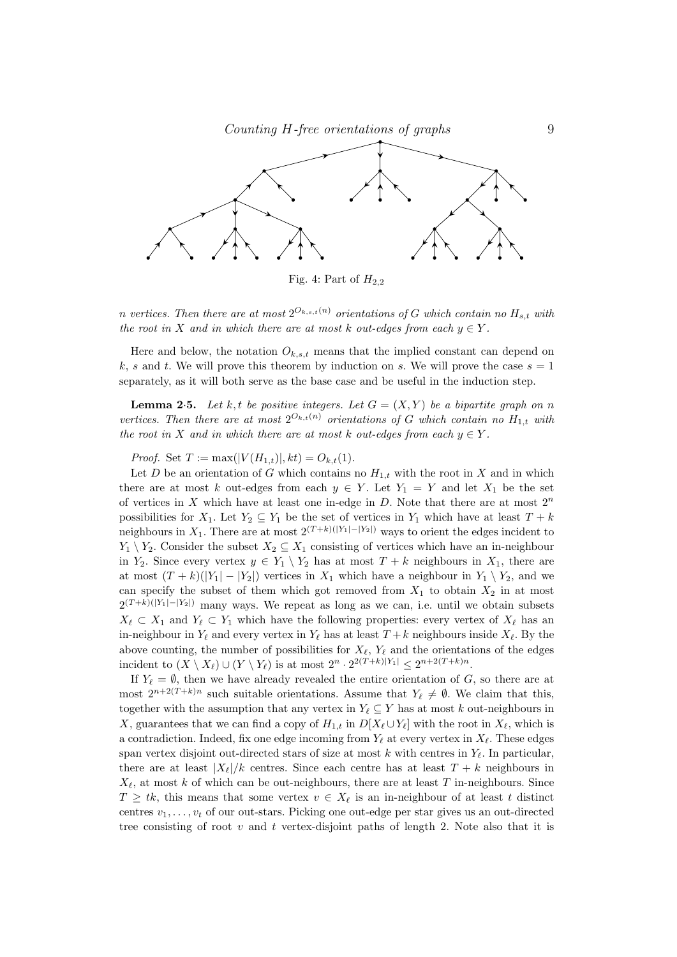

Fig. 4: Part of  $H_{2,2}$ 

n vertices. Then there are at most  $2^{O_{k,s,t}(n)}$  orientations of G which contain no  $H_{s,t}$  with the root in X and in which there are at most k out-edges from each  $y \in Y$ .

Here and below, the notation  $O_{k,s,t}$  means that the implied constant can depend on k, s and t. We will prove this theorem by induction on s. We will prove the case  $s = 1$ separately, as it will both serve as the base case and be useful in the induction step.

**Lemma 2.5.** Let k, t be positive integers. Let  $G = (X, Y)$  be a bipartite graph on n vertices. Then there are at most  $2^{O_{k,t}(n)}$  orientations of G which contain no  $H_{1,t}$  with the root in X and in which there are at most k out-edges from each  $y \in Y$ .

*Proof.* Set  $T := \max(|V(H_{1,t})|, kt) = O_{k,t}(1)$ .

Let D be an orientation of G which contains no  $H_{1,t}$  with the root in X and in which there are at most k out-edges from each  $y \in Y$ . Let  $Y_1 = Y$  and let  $X_1$  be the set of vertices in  $X$  which have at least one in-edge in  $D$ . Note that there are at most  $2^n$ possibilities for  $X_1$ . Let  $Y_2 \subseteq Y_1$  be the set of vertices in  $Y_1$  which have at least  $T + k$ neighbours in  $X_1$ . There are at most  $2^{(T+k)(|Y_1| - |Y_2|)}$  ways to orient the edges incident to  $Y_1 \setminus Y_2$ . Consider the subset  $X_2 \subseteq X_1$  consisting of vertices which have an in-neighbour in  $Y_2$ . Since every vertex  $y \in Y_1 \setminus Y_2$  has at most  $T + k$  neighbours in  $X_1$ , there are at most  $(T + k)(|Y_1| - |Y_2|)$  vertices in  $X_1$  which have a neighbour in  $Y_1 \setminus Y_2$ , and we can specify the subset of them which got removed from  $X_1$  to obtain  $X_2$  in at most  $2^{(T+k)(|Y_1|-|Y_2|)}$  many ways. We repeat as long as we can, i.e. until we obtain subsets  $X_{\ell} \subset X_1$  and  $Y_{\ell} \subset Y_1$  which have the following properties: every vertex of  $X_{\ell}$  has an in-neighbour in  $Y_\ell$  and every vertex in  $Y_\ell$  has at least  $T + k$  neighbours inside  $X_\ell$ . By the above counting, the number of possibilities for  $X_\ell, Y_\ell$  and the orientations of the edges incident to  $(X \setminus X_\ell) \cup (Y \setminus Y_\ell)$  is at most  $2^n \cdot 2^{2(T+k)|Y_1|} \leq 2^{n+2(T+k)n}$ .

If  $Y_\ell = \emptyset$ , then we have already revealed the entire orientation of G, so there are at most  $2^{n+2(T+k)n}$  such suitable orientations. Assume that  $Y_{\ell} \neq \emptyset$ . We claim that this, together with the assumption that any vertex in  $Y_\ell \subseteq Y$  has at most k out-neighbours in X, guarantees that we can find a copy of  $H_{1,t}$  in  $D[X_\ell \cup Y_\ell]$  with the root in  $X_\ell$ , which is a contradiction. Indeed, fix one edge incoming from  $Y_\ell$  at every vertex in  $X_\ell$ . These edges span vertex disjoint out-directed stars of size at most k with centres in  $Y_\ell$ . In particular, there are at least  $|X_{\ell}|/k$  centres. Since each centre has at least  $T + k$  neighbours in  $X_{\ell}$ , at most k of which can be out-neighbours, there are at least T in-neighbours. Since  $T \geq tk$ , this means that some vertex  $v \in X_\ell$  is an in-neighbour of at least t distinct centres  $v_1, \ldots, v_t$  of our out-stars. Picking one out-edge per star gives us an out-directed tree consisting of root  $v$  and  $t$  vertex-disjoint paths of length 2. Note also that it is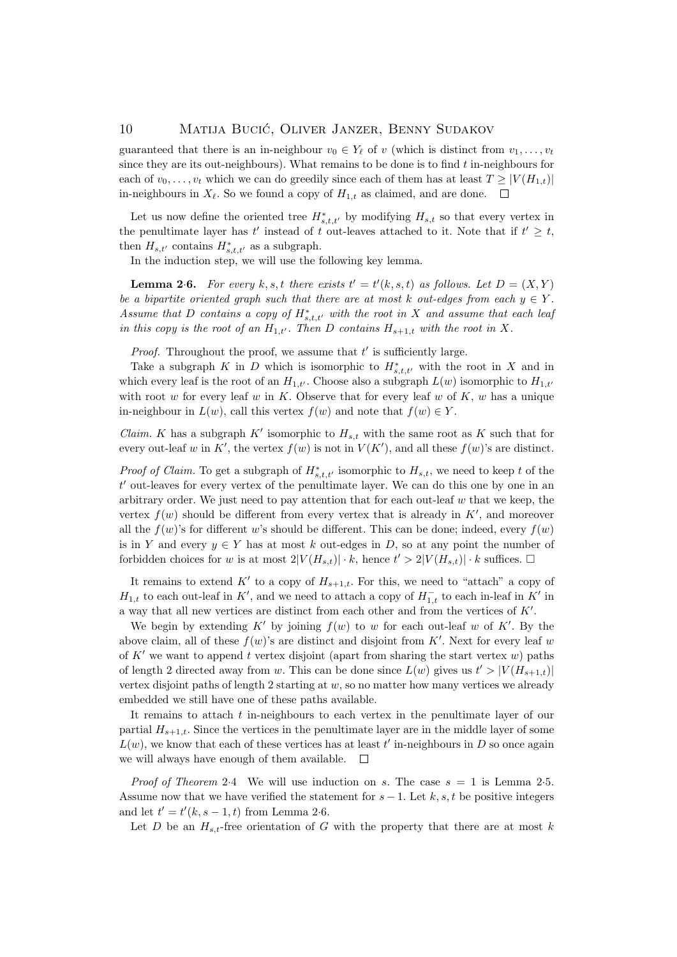guaranteed that there is an in-neighbour  $v_0 \in Y_\ell$  of v (which is distinct from  $v_1, \ldots, v_t$ since they are its out-neighbours). What remains to be done is to find  $t$  in-neighbours for each of  $v_0, \ldots, v_t$  which we can do greedily since each of them has at least  $T \geq |V(H_{1,t})|$ in-neighbours in  $X_{\ell}$ . So we found a copy of  $H_{1,t}$  as claimed, and are done.  $\square$ 

Let us now define the oriented tree  $H^*_{s,t,t'}$  by modifying  $H_{s,t}$  so that every vertex in the penultimate layer has t' instead of t out-leaves attached to it. Note that if  $t' \geq t$ , then  $H_{s,t'}$  contains  $H_{s,t,t'}^*$  as a subgraph.

In the induction step, we will use the following key lemma.

**Lemma 2.6.** For every k, s, t there exists  $t' = t'(k, s, t)$  as follows. Let  $D = (X, Y)$ be a bipartite oriented graph such that there are at most k out-edges from each  $y \in Y$ . Assume that D contains a copy of  $H^*_{s,t,t'}$  with the root in X and assume that each leaf in this copy is the root of an  $H_{1,t'}$ . Then D contains  $H_{s+1,t}$  with the root in X.

*Proof.* Throughout the proof, we assume that  $t'$  is sufficiently large.

Take a subgraph K in D which is isomorphic to  $H^*_{s,t,t'}$  with the root in X and in which every leaf is the root of an  $H_{1,t'}$ . Choose also a subgraph  $L(w)$  isomorphic to  $H_{1,t'}$ with root w for every leaf w in K. Observe that for every leaf w of K, w has a unique in-neighbour in  $L(w)$ , call this vertex  $f(w)$  and note that  $f(w) \in Y$ .

*Claim.* K has a subgraph  $K'$  isomorphic to  $H_{s,t}$  with the same root as K such that for every out-leaf w in K', the vertex  $f(w)$  is not in  $V(K')$ , and all these  $f(w)$ 's are distinct.

*Proof of Claim.* To get a subgraph of  $H^*_{s,t,t'}$  isomorphic to  $H_{s,t}$ , we need to keep t of the  $t'$  out-leaves for every vertex of the penultimate layer. We can do this one by one in an arbitrary order. We just need to pay attention that for each out-leaf  $w$  that we keep, the vertex  $f(w)$  should be different from every vertex that is already in  $K'$ , and moreover all the  $f(w)$ 's for different w's should be different. This can be done; indeed, every  $f(w)$ is in Y and every  $y \in Y$  has at most k out-edges in D, so at any point the number of forbidden choices for w is at most  $2|V(H_{s,t})| \cdot k$ , hence  $t' > 2|V(H_{s,t})| \cdot k$  suffices.  $\Box$ 

It remains to extend  $K'$  to a copy of  $H_{s+1,t}$ . For this, we need to "attach" a copy of  $H_{1,t}$  to each out-leaf in K', and we need to attach a copy of  $H_{1,t}^-$  to each in-leaf in K' in a way that all new vertices are distinct from each other and from the vertices of  $K'$ .

We begin by extending  $K'$  by joining  $f(w)$  to w for each out-leaf w of  $K'$ . By the above claim, all of these  $f(w)$ 's are distinct and disjoint from K'. Next for every leaf w of K' we want to append t vertex disjoint (apart from sharing the start vertex  $w$ ) paths of length 2 directed away from w. This can be done since  $L(w)$  gives us  $t' > |V(H_{s+1,t})|$ vertex disjoint paths of length  $2$  starting at  $w$ , so no matter how many vertices we already embedded we still have one of these paths available.

It remains to attach t in-neighbours to each vertex in the penultimate layer of our partial  $H_{s+1,t}$ . Since the vertices in the penultimate layer are in the middle layer of some  $L(w)$ , we know that each of these vertices has at least  $t'$  in-neighbours in D so once again we will always have enough of them available.  $\square$ 

*Proof of Theorem* 2.4 We will use induction on s. The case  $s = 1$  is Lemma 2.5. Assume now that we have verified the statement for  $s - 1$ . Let  $k, s, t$  be positive integers and let  $t' = t'(k, s - 1, t)$  from Lemma 2.6.

Let D be an  $H_{s,t}$ -free orientation of G with the property that there are at most k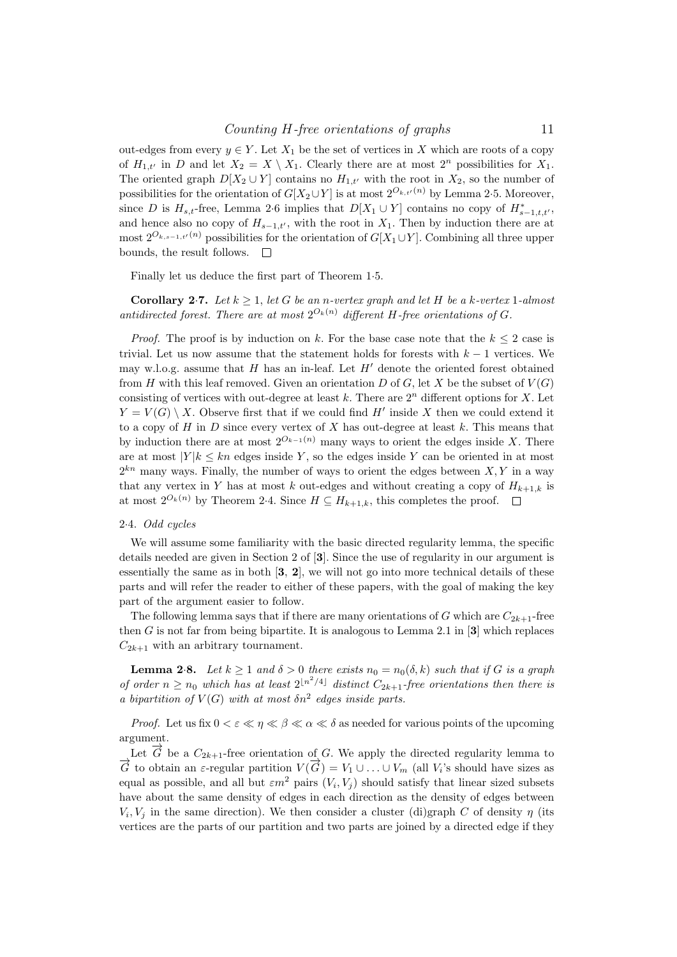out-edges from every  $y \in Y$ . Let  $X_1$  be the set of vertices in X which are roots of a copy of  $H_{1,t'}$  in D and let  $X_2 = X \setminus X_1$ . Clearly there are at most  $2^n$  possibilities for  $X_1$ . The oriented graph  $D[X_2 \cup Y]$  contains no  $H_{1,t'}$  with the root in  $X_2$ , so the number of possibilities for the orientation of  $G[X_2\cup Y]$  is at most  $2^{O_{k,t'}(n)}$  by Lemma 2·5. Moreover, since D is  $H_{s,t}$ -free, Lemma 2·6 implies that  $D[X_1 \cup Y]$  contains no copy of  $H_{s-1,t,t'}^*$ , and hence also no copy of  $H_{s-1,t'}$ , with the root in  $X_1$ . Then by induction there are at most  $2^{O_{k,s-1,t'}(n)}$  possibilities for the orientation of  $G[X_1\cup Y]$ . Combining all three upper bounds, the result follows.  $\Box$ 

Finally let us deduce the first part of Theorem 1·5.

Corollary 2.7. Let  $k \geq 1$ , let G be an n-vertex graph and let H be a k-vertex 1-almost antidirected forest. There are at most  $2^{O_k(n)}$  different H-free orientations of G.

*Proof.* The proof is by induction on k. For the base case note that the  $k \leq 2$  case is trivial. Let us now assume that the statement holds for forests with  $k-1$  vertices. We may w.l.o.g. assume that  $H$  has an in-leaf. Let  $H'$  denote the oriented forest obtained from H with this leaf removed. Given an orientation D of G, let X be the subset of  $V(G)$ consisting of vertices with out-degree at least k. There are  $2<sup>n</sup>$  different options for X. Let  $Y = V(G) \setminus X$ . Observe first that if we could find H' inside X then we could extend it to a copy of  $H$  in  $D$  since every vertex of  $X$  has out-degree at least  $k$ . This means that by induction there are at most  $2^{O_{k-1}(n)}$  many ways to orient the edges inside X. There are at most  $|Y|k \leq kn$  edges inside Y, so the edges inside Y can be oriented in at most  $2^{kn}$  many ways. Finally, the number of ways to orient the edges between  $X, Y$  in a way that any vertex in Y has at most k out-edges and without creating a copy of  $H_{k+1,k}$  is at most  $2^{O_k(n)}$  by Theorem 2·4. Since  $H \subseteq H_{k+1,k}$ , this completes the proof.  $\Box$ 

### 2·4. Odd cycles

We will assume some familiarity with the basic directed regularity lemma, the specific details needed are given in Section 2 of [3]. Since the use of regularity in our argument is essentially the same as in both  $\mathbf{3, 2}$ , we will not go into more technical details of these parts and will refer the reader to either of these papers, with the goal of making the key part of the argument easier to follow.

The following lemma says that if there are many orientations of G which are  $C_{2k+1}$ -free then G is not far from being bipartite. It is analogous to Lemma 2.1 in  $[3]$  which replaces  $C_{2k+1}$  with an arbitrary tournament.

**Lemma 2·8.** Let  $k \ge 1$  and  $\delta > 0$  there exists  $n_0 = n_0(\delta, k)$  such that if G is a graph of order  $n \geq n_0$  which has at least  $2^{\lfloor n^2/4 \rfloor}$  distinct  $C_{2k+1}$ -free orientations then there is a bipartition of  $V(G)$  with at most  $\delta n^2$  edges inside parts.

*Proof.* Let us fix  $0 < \varepsilon \ll \eta \ll \beta \ll \alpha \ll \delta$  as needed for various points of the upcoming argument.

Let  $\overrightarrow{G}$  be a  $C_{2k+1}$ -free orientation of G. We apply the directed regularity lemma to  $\overrightarrow{G}$  to obtain an  $\varepsilon$ -regular partition  $V(\overrightarrow{G}) = V_1 \cup ... \cup V_m$  (all  $V_i$ 's should have sizes as equal as possible, and all but  $\varepsilon m^2$  pairs  $(V_i, V_j)$  should satisfy that linear sized subsets have about the same density of edges in each direction as the density of edges between  $V_i, V_j$  in the same direction). We then consider a cluster (di)graph C of density  $\eta$  (its vertices are the parts of our partition and two parts are joined by a directed edge if they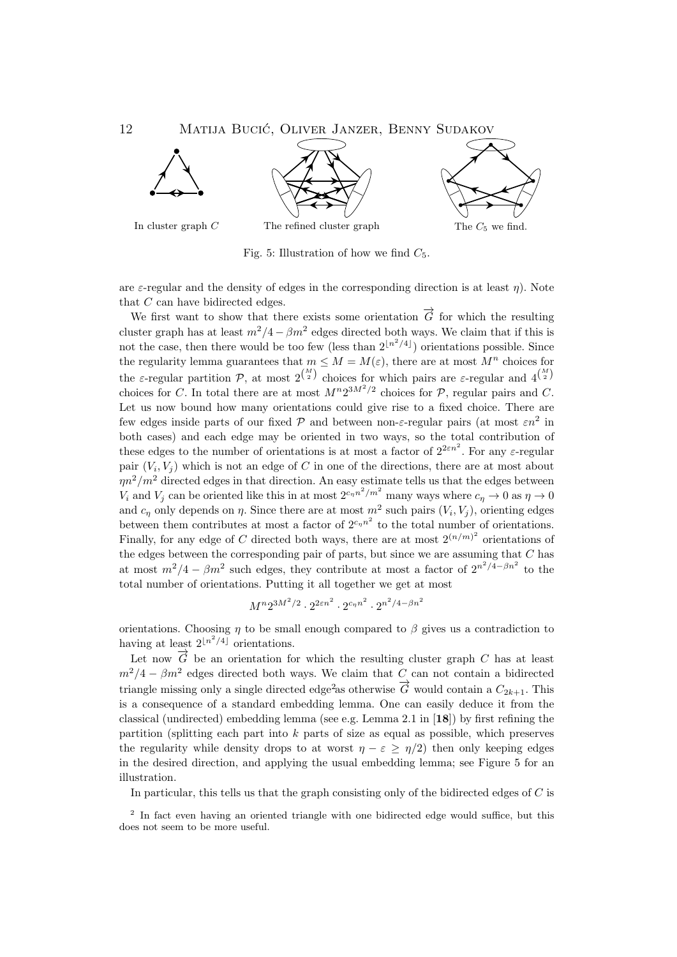

Fig. 5: Illustration of how we find  $C_5$ .

are  $\varepsilon$ -regular and the density of edges in the corresponding direction is at least  $\eta$ ). Note that C can have bidirected edges.

We first want to show that there exists some orientation  $\vec{G}$  for which the resulting cluster graph has at least  $m^2/4 - \beta m^2$  edges directed both ways. We claim that if this is not the case, then there would be too few (less than  $2^{\lfloor n^2/4 \rfloor}$ ) orientations possible. Since the regularity lemma guarantees that  $m \leq M = M(\varepsilon)$ , there are at most  $M^n$  choices for the  $\varepsilon$ -regular partition  $P$ , at most  $2^{\binom{M}{2}}$  choices for which pairs are  $\varepsilon$ -regular and  $4^{\binom{M}{2}}$ choices for C. In total there are at most  $M^{n}2^{3M^{2}/2}$  choices for P, regular pairs and C. Let us now bound how many orientations could give rise to a fixed choice. There are few edges inside parts of our fixed  $P$  and between non- $\varepsilon$ -regular pairs (at most  $\varepsilon n^2$  in both cases) and each edge may be oriented in two ways, so the total contribution of these edges to the number of orientations is at most a factor of  $2^{2\epsilon n^2}$ . For any  $\epsilon$ -regular pair  $(V_i, V_j)$  which is not an edge of C in one of the directions, there are at most about  $\eta n^2/m^2$  directed edges in that direction. An easy estimate tells us that the edges between  $V_i$  and  $V_j$  can be oriented like this in at most  $2^{c_n n^2/m^2}$  many ways where  $c_\eta \to 0$  as  $\eta \to 0$ and  $c_{\eta}$  only depends on  $\eta$ . Since there are at most  $m^2$  such pairs  $(V_i, V_j)$ , orienting edges between them contributes at most a factor of  $2^{c_n n^2}$  to the total number of orientations. Finally, for any edge of C directed both ways, there are at most  $2^{(n/m)^2}$  orientations of the edges between the corresponding pair of parts, but since we are assuming that  $C$  has at most  $m^2/4 - \beta m^2$  such edges, they contribute at most a factor of  $2^{n^2/4-\beta n^2}$  to the total number of orientations. Putting it all together we get at most

$$
M^{n}2^{3M^2/2} \cdot 2^{2\varepsilon n^2} \cdot 2^{c_{\eta}n^2} \cdot 2^{n^2/4 - \beta n^2}
$$

orientations. Choosing *n* to be small enough compared to  $\beta$  gives us a contradiction to having at least  $2^{\lfloor n^2/4 \rfloor}$  orientations.

Let now  $\overrightarrow{G}$  be an orientation for which the resulting cluster graph C has at least  $m^2/4 - \beta m^2$  edges directed both ways. We claim that C can not contain a bidirected triangle missing only a single directed edge<sup>2</sup>as otherwise  $\vec{G}$  would contain a  $C_{2k+1}$ . This is a consequence of a standard embedding lemma. One can easily deduce it from the classical (undirected) embedding lemma (see e.g. Lemma 2.1 in [18]) by first refining the partition (splitting each part into  $k$  parts of size as equal as possible, which preserves the regularity while density drops to at worst  $\eta - \varepsilon \geq \eta/2$ ) then only keeping edges in the desired direction, and applying the usual embedding lemma; see Figure 5 for an illustration.

In particular, this tells us that the graph consisting only of the bidirected edges of  $C$  is

<sup>&</sup>lt;sup>2</sup> In fact even having an oriented triangle with one bidirected edge would suffice, but this does not seem to be more useful.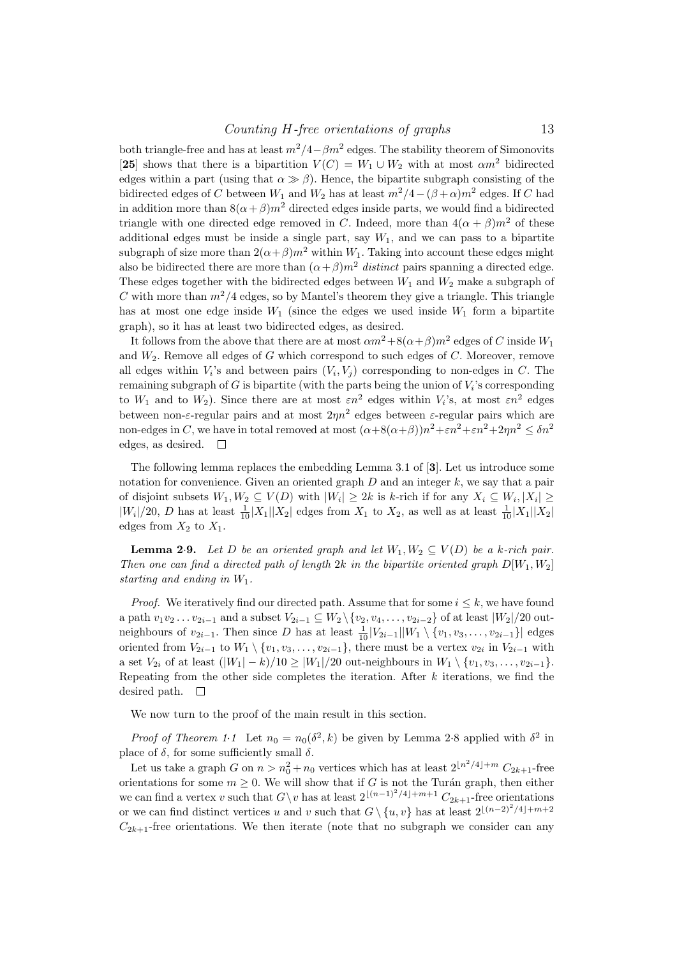## Counting H-free orientations of graphs 13

both triangle-free and has at least  $m^2/4 - \beta m^2$  edges. The stability theorem of Simonovits [25] shows that there is a bipartition  $V(C) = W_1 \cup W_2$  with at most  $\alpha m^2$  bidirected edges within a part (using that  $\alpha \gg \beta$ ). Hence, the bipartite subgraph consisting of the bidirected edges of C between  $W_1$  and  $W_2$  has at least  $m^2/4 - (\beta + \alpha)m^2$  edges. If C had in addition more than  $8(\alpha + \beta)m^2$  directed edges inside parts, we would find a bidirected triangle with one directed edge removed in C. Indeed, more than  $4(\alpha + \beta)m^2$  of these additional edges must be inside a single part, say  $W_1$ , and we can pass to a bipartite subgraph of size more than  $2(\alpha+\beta)m^2$  within  $W_1$ . Taking into account these edges might also be bidirected there are more than  $(\alpha + \beta)m^2$  distinct pairs spanning a directed edge. These edges together with the bidirected edges between  $W_1$  and  $W_2$  make a subgraph of C with more than  $m^2/4$  edges, so by Mantel's theorem they give a triangle. This triangle has at most one edge inside  $W_1$  (since the edges we used inside  $W_1$  form a bipartite graph), so it has at least two bidirected edges, as desired.

It follows from the above that there are at most  $\alpha m^2 + 8(\alpha + \beta)m^2$  edges of C inside  $W_1$ and  $W_2$ . Remove all edges of G which correspond to such edges of C. Moreover, remove all edges within  $V_i$ 's and between pairs  $(V_i, V_j)$  corresponding to non-edges in C. The remaining subgraph of G is bipartite (with the parts being the union of  $V_i$ 's corresponding to  $W_1$  and to  $W_2$ ). Since there are at most  $\varepsilon n^2$  edges within  $V_i$ 's, at most  $\varepsilon n^2$  edges between non-ε-regular pairs and at most  $2\eta n^2$  edges between ε-regular pairs which are non-edges in C, we have in total removed at most  $(\alpha+8(\alpha+\beta))n^2+\varepsilon n^2+\varepsilon n^2+2\eta n^2\leq \delta n^2$ edges, as desired.  $\square$ 

The following lemma replaces the embedding Lemma 3.1 of [3]. Let us introduce some notation for convenience. Given an oriented graph  $D$  and an integer  $k$ , we say that a pair of disjoint subsets  $W_1, W_2 \subseteq V(D)$  with  $|W_i| \geq 2k$  is k-rich if for any  $X_i \subseteq W_i, |X_i| \geq$  $|W_i|/20$ , D has at least  $\frac{1}{10}|X_1||X_2|$  edges from  $X_1$  to  $X_2$ , as well as at least  $\frac{1}{10}|X_1||X_2|$ edges from  $X_2$  to  $X_1$ .

**Lemma 2·9.** Let D be an oriented graph and let  $W_1, W_2 \subseteq V(D)$  be a k-rich pair. Then one can find a directed path of length 2k in the bipartite oriented graph  $D[W_1, W_2]$ starting and ending in  $W_1$ .

*Proof.* We iteratively find our directed path. Assume that for some  $i \leq k$ , we have found a path  $v_1v_2 \ldots v_{2i-1}$  and a subset  $V_{2i-1} \subseteq W_2 \setminus \{v_2, v_4, \ldots, v_{2i-2}\}$  of at least  $|W_2|/20$  outneighbours of  $v_{2i-1}$ . Then since D has at least  $\frac{1}{10}|V_{2i-1}||W_1 \setminus \{v_1, v_3, \ldots, v_{2i-1}\}|$  edges oriented from  $V_{2i-1}$  to  $W_1 \setminus \{v_1, v_3, \ldots, v_{2i-1}\}\$ , there must be a vertex  $v_{2i}$  in  $V_{2i-1}$  with a set  $V_{2i}$  of at least  $(|W_1| - k)/10 \ge |W_1|/20$  out-neighbours in  $W_1 \setminus \{v_1, v_3, \ldots, v_{2i-1}\}.$ Repeating from the other side completes the iteration. After  $k$  iterations, we find the desired path.  $\square$ 

We now turn to the proof of the main result in this section.

*Proof of Theorem 1.1* Let  $n_0 = n_0(\delta^2, k)$  be given by Lemma 2.8 applied with  $\delta^2$  in place of  $\delta$ , for some sufficiently small  $\delta$ .

Let us take a graph G on  $n > n_0^2 + n_0$  vertices which has at least  $2^{\lfloor n^2/4\rfloor + m} C_{2k+1}$ -free orientations for some  $m \geq 0$ . We will show that if G is not the Turán graph, then either we can find a vertex v such that  $G\setminus v$  has at least  $2^{\lfloor (n-1)^2/4\rfloor+m+1} C_{2k+1}$ -free orientations or we can find distinct vertices u and v such that  $G \setminus \{u, v\}$  has at least  $2^{\lfloor (n-2)^2/4\rfloor+m+2}$  $C_{2k+1}$ -free orientations. We then iterate (note that no subgraph we consider can any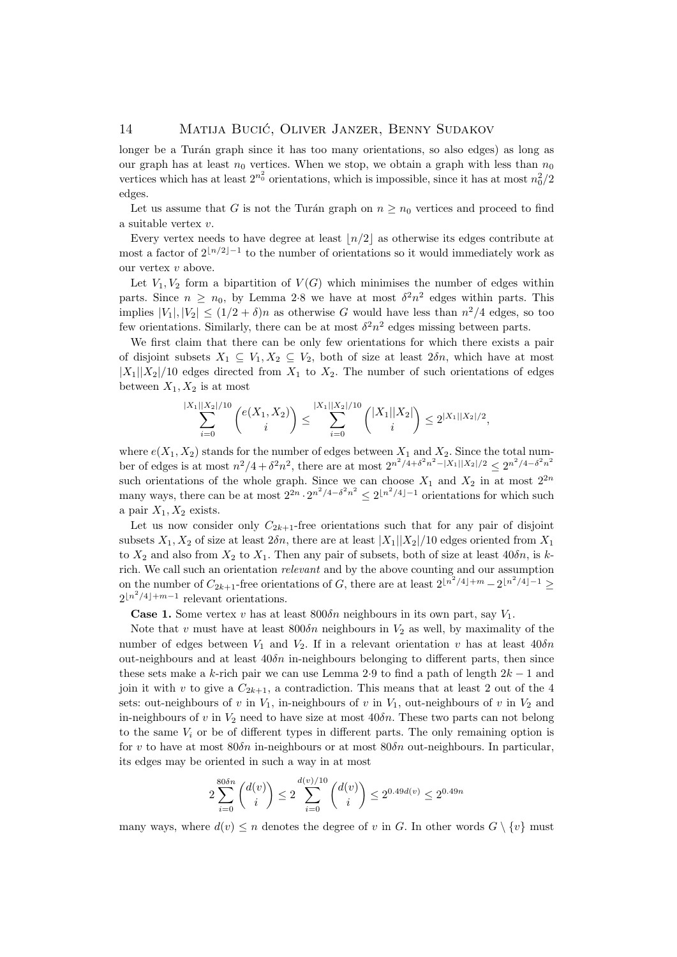longer be a Turán graph since it has too many orientations, so also edges) as long as our graph has at least  $n_0$  vertices. When we stop, we obtain a graph with less than  $n_0$ vertices which has at least  $2^{n_0^2}$  orientations, which is impossible, since it has at most  $n_0^2/2$ edges.

Let us assume that G is not the Turán graph on  $n \geq n_0$  vertices and proceed to find a suitable vertex v.

Every vertex needs to have degree at least  $\lfloor n/2 \rfloor$  as otherwise its edges contribute at most a factor of  $2^{\lfloor n/2\rfloor-1}$  to the number of orientations so it would immediately work as our vertex v above.

Let  $V_1, V_2$  form a bipartition of  $V(G)$  which minimises the number of edges within parts. Since  $n \geq n_0$ , by Lemma 2.8 we have at most  $\delta^2 n^2$  edges within parts. This implies  $|V_1|, |V_2| \leq (1/2 + \delta)n$  as otherwise G would have less than  $n^2/4$  edges, so too few orientations. Similarly, there can be at most  $\delta^2 n^2$  edges missing between parts.

We first claim that there can be only few orientations for which there exists a pair of disjoint subsets  $X_1 \subseteq V_1, X_2 \subseteq V_2$ , both of size at least  $2\delta n$ , which have at most  $|X_1||X_2|/10$  edges directed from  $X_1$  to  $X_2$ . The number of such orientations of edges between  $X_1, X_2$  is at most

$$
\sum_{i=0}^{|X_1||X_2|/10}\binom{e(X_1,X_2)}{i}\leq \sum_{i=0}^{|X_1||X_2|/10}\binom{|X_1||X_2|}{i}\leq 2^{|X_1||X_2|/2},
$$

where  $e(X_1, X_2)$  stands for the number of edges between  $X_1$  and  $X_2$ . Since the total number of edges is at most  $n^2/4 + \delta^2 n^2$ , there are at most  $2^{n^2/4+\delta^2 n^2 - |X_1||X_2|/2} \leq 2^{n^2/4 - \delta^2 n^2}$ such orientations of the whole graph. Since we can choose  $X_1$  and  $X_2$  in at most  $2^{2n}$ many ways, there can be at most  $2^{2n} \cdot 2^{n^2/4 - \delta^2 n^2} \leq 2^{\lfloor n^2/4 \rfloor - 1}$  orientations for which such a pair  $X_1, X_2$  exists.

Let us now consider only  $C_{2k+1}$ -free orientations such that for any pair of disjoint subsets  $X_1, X_2$  of size at least  $2\delta n$ , there are at least  $|X_1||X_2|/10$  edges oriented from  $X_1$ to  $X_2$  and also from  $X_2$  to  $X_1$ . Then any pair of subsets, both of size at least  $40\delta n$ , is krich. We call such an orientation relevant and by the above counting and our assumption on the number of  $C_{2k+1}$ -free orientations of G, there are at least  $2^{\lfloor n^2/4\rfloor+m}-2^{\lfloor n^2/4\rfloor-1}\geq$  $2^{\lfloor n^2/4\rfloor+m-1}$  relevant orientations.

**Case 1.** Some vertex v has at least  $800\delta n$  neighbours in its own part, say  $V_1$ .

Note that v must have at least  $800\delta n$  neighbours in  $V_2$  as well, by maximality of the number of edges between  $V_1$  and  $V_2$ . If in a relevant orientation v has at least  $40\delta n$ out-neighbours and at least  $40\delta n$  in-neighbours belonging to different parts, then since these sets make a k-rich pair we can use Lemma 2.9 to find a path of length  $2k - 1$  and join it with v to give a  $C_{2k+1}$ , a contradiction. This means that at least 2 out of the 4 sets: out-neighbours of v in  $V_1$ , in-neighbours of v in  $V_1$ , out-neighbours of v in  $V_2$  and in-neighbours of v in  $V_2$  need to have size at most  $40\delta n$ . These two parts can not belong to the same  $V_i$  or be of different types in different parts. The only remaining option is for v to have at most  $80\delta n$  in-neighbours or at most  $80\delta n$  out-neighbours. In particular, its edges may be oriented in such a way in at most

$$
2\sum_{i=0}^{80\delta n} \binom{d(v)}{i} \le 2\sum_{i=0}^{d(v)/10} \binom{d(v)}{i} \le 2^{0.49d(v)} \le 2^{0.49n}
$$

many ways, where  $d(v) \leq n$  denotes the degree of v in G. In other words  $G \setminus \{v\}$  must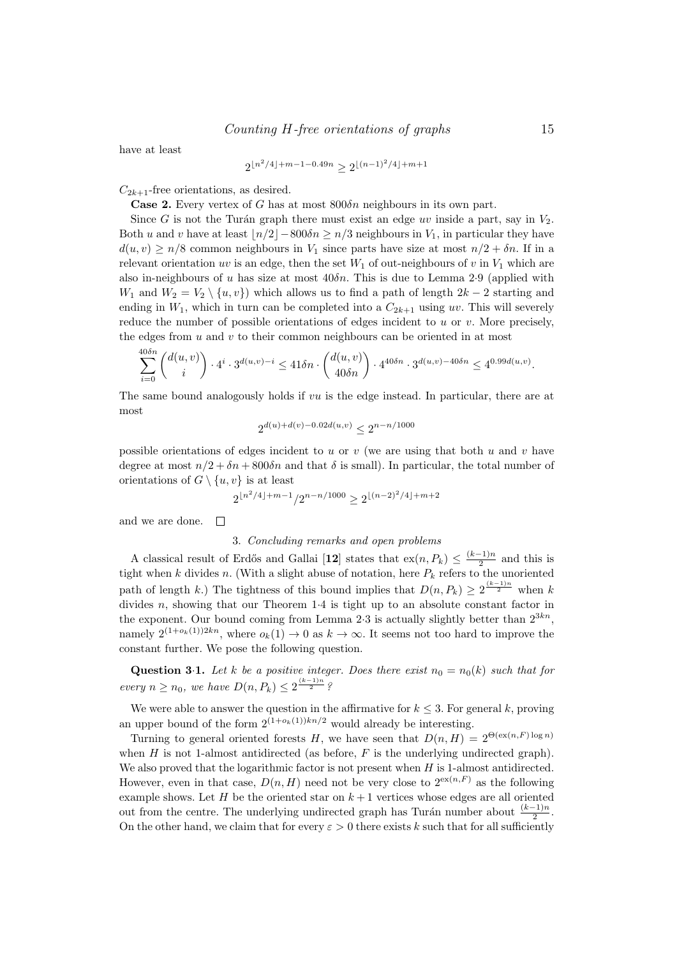have at least

$$
2^{\lfloor n^2/4\rfloor+m-1-0.49n}\geq 2^{\lfloor (n-1)^2/4\rfloor+m+1}
$$

 $C_{2k+1}$ -free orientations, as desired.

**Case 2.** Every vertex of G has at most  $800\delta n$  neighbours in its own part.

Since G is not the Turán graph there must exist an edge uv inside a part, say in  $V_2$ . Both u and v have at least  $n/2-800\delta n \geq n/3$  neighbours in  $V_1$ , in particular they have  $d(u, v) \ge n/8$  common neighbours in  $V_1$  since parts have size at most  $n/2 + \delta n$ . If in a relevant orientation uv is an edge, then the set  $W_1$  of out-neighbours of v in  $V_1$  which are also in-neighbours of u has size at most  $40\delta n$ . This is due to Lemma 2.9 (applied with  $W_1$  and  $W_2 = V_2 \setminus \{u, v\}$  which allows us to find a path of length  $2k - 2$  starting and ending in  $W_1$ , which in turn can be completed into a  $C_{2k+1}$  using uv. This will severely reduce the number of possible orientations of edges incident to  $u$  or  $v$ . More precisely, the edges from  $u$  and  $v$  to their common neighbours can be oriented in at most

$$
\sum_{i=0}^{40\delta n} \binom{d(u,v)}{i} \cdot 4^i \cdot 3^{d(u,v)-i} \le 41\delta n \cdot \binom{d(u,v)}{40\delta n} \cdot 4^{40\delta n} \cdot 3^{d(u,v)-40\delta n} \le 4^{0.99d(u,v)}.
$$

The same bound analogously holds if  $vu$  is the edge instead. In particular, there are at most

$$
2^{d(u)+d(v)-0.02d(u,v)}\leq 2^{n-n/1000}
$$

possible orientations of edges incident to  $u$  or  $v$  (we are using that both  $u$  and  $v$  have degree at most  $n/2 + \delta n + 800\delta n$  and that  $\delta$  is small). In particular, the total number of orientations of  $G \setminus \{u, v\}$  is at least

$$
2^{\lfloor n^2/4\rfloor+m-1}/2^{n-n/1000} \ge 2^{\lfloor (n-2)^2/4\rfloor+m+2}
$$

and we are done.  $\Box$ 

#### 3. Concluding remarks and open problems

A classical result of Erdős and Gallai [12] states that  $\text{ex}(n, P_k) \leq \frac{(k-1)n}{2}$  $\frac{-1}{2}$  and this is tight when k divides n. (With a slight abuse of notation, here  $P_k$  refers to the unoriented path of length k.) The tightness of this bound implies that  $D(n, P_k) \geq 2^{\frac{(k-1)n}{2}}$  when k divides n, showing that our Theorem 1·4 is tight up to an absolute constant factor in the exponent. Our bound coming from Lemma 2.3 is actually slightly better than  $2^{3kn}$ . namely  $2^{(1+o_k(1))2kn}$ , where  $o_k(1) \to 0$  as  $k \to \infty$ . It seems not too hard to improve the constant further. We pose the following question.

**Question 3.1.** Let k be a positive integer. Does there exist  $n_0 = n_0(k)$  such that for every  $n \geq n_0$ , we have  $D(n, P_k) \leq 2^{\frac{(k-1)n}{2}}$ ?

We were able to answer the question in the affirmative for  $k \leq 3$ . For general k, proving an upper bound of the form  $2^{(1+o_k(1))kn/2}$  would already be interesting.

Turning to general oriented forests H, we have seen that  $D(n, H) = 2^{\Theta(\text{ex}(n, F) \log n)}$ when H is not 1-almost antidirected (as before,  $F$  is the underlying undirected graph). We also proved that the logarithmic factor is not present when  $H$  is 1-almost antidirected. However, even in that case,  $D(n, H)$  need not be very close to  $2^{\text{ex}(n, F)}$  as the following example shows. Let H be the oriented star on  $k+1$  vertices whose edges are all oriented out from the centre. The underlying undirected graph has Turán number about  $\frac{(k-1)n}{2}$ . On the other hand, we claim that for every  $\varepsilon > 0$  there exists k such that for all sufficiently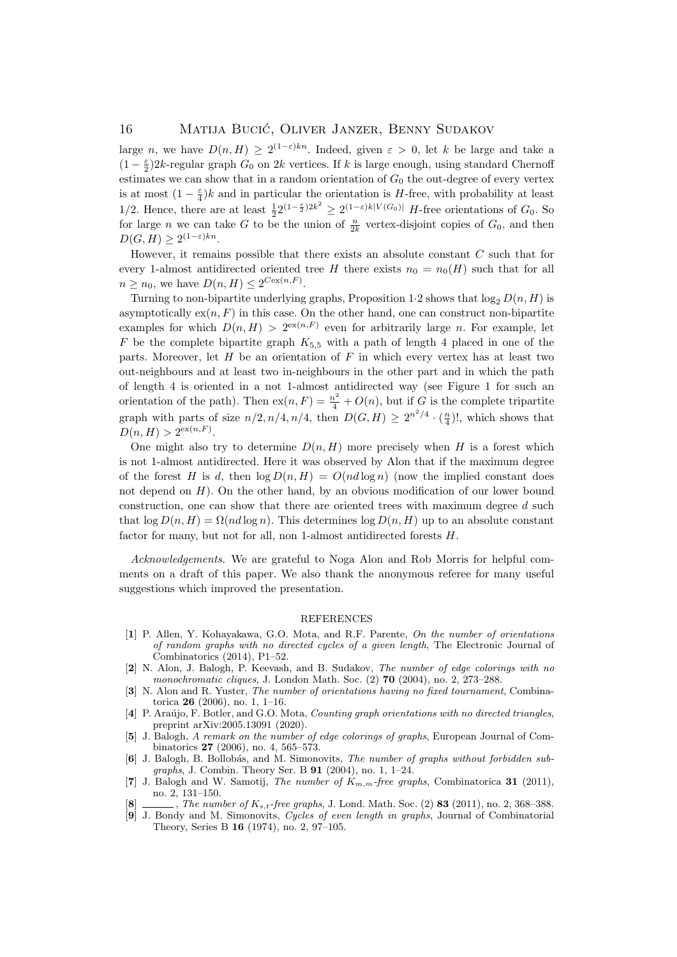large n, we have  $D(n, H) \geq 2^{(1-\varepsilon)kn}$ . Indeed, given  $\varepsilon > 0$ , let k be large and take a  $(1-\frac{\varepsilon}{2})2k$ -regular graph  $G_0$  on  $2k$  vertices. If k is large enough, using standard Chernoff estimates we can show that in a random orientation of  $G_0$  the out-degree of every vertex is at most  $(1 - \frac{\varepsilon}{4})k$  and in particular the orientation is H-free, with probability at least 1/2. Hence, there are at least  $\frac{1}{2}2^{(1-\frac{\varepsilon}{2})2k^2} \geq 2^{(1-\varepsilon)k|V(G_0)|}$  H-free orientations of  $G_0$ . So for large *n* we can take G to be the union of  $\frac{n}{2k}$  vertex-disjoint copies of  $G_0$ , and then  $D(G, H) \geq 2^{(1-\varepsilon)kn}$ .

However, it remains possible that there exists an absolute constant  $C$  such that for every 1-almost antidirected oriented tree H there exists  $n_0 = n_0(H)$  such that for all  $n \geq n_0$ , we have  $D(n, H) \leq 2^{C \exp(n, F)}$ .

Turning to non-bipartite underlying graphs, Proposition 1.2 shows that  $\log_2 D(n, H)$  is asymptotically  $ex(n, F)$  in this case. On the other hand, one can construct non-bipartite examples for which  $D(n, H) > 2^{\alpha(x,F)}$  even for arbitrarily large *n*. For example, let F be the complete bipartite graph  $K_{5,5}$  with a path of length 4 placed in one of the parts. Moreover, let  $H$  be an orientation of  $F$  in which every vertex has at least two out-neighbours and at least two in-neighbours in the other part and in which the path of length 4 is oriented in a not 1-almost antidirected way (see Figure 1 for such an orientation of the path). Then  $ex(n, F) = \frac{n^2}{4} + O(n)$ , but if G is the complete tripartite graph with parts of size  $n/2$ ,  $n/4$ ,  $n/4$ , then  $D(G, H) \geq 2^{n^2/4} \cdot \left(\frac{n}{4}\right)!$ , which shows that  $D(n, H) > 2^{\text{ex}(n, F)}$ .

One might also try to determine  $D(n, H)$  more precisely when H is a forest which is not 1-almost antidirected. Here it was observed by Alon that if the maximum degree of the forest H is d, then  $\log D(n, H) = O(nd \log n)$  (now the implied constant does not depend on  $H$ ). On the other hand, by an obvious modification of our lower bound construction, one can show that there are oriented trees with maximum degree  $d$  such that  $\log D(n, H) = \Omega(nd \log n)$ . This determines  $\log D(n, H)$  up to an absolute constant factor for many, but not for all, non 1-almost antidirected forests H.

Acknowledgements. We are grateful to Noga Alon and Rob Morris for helpful comments on a draft of this paper. We also thank the anonymous referee for many useful suggestions which improved the presentation.

#### REFERENCES

- [1] P. Allen, Y. Kohayakawa, G.O. Mota, and R.F. Parente, On the number of orientations of random graphs with no directed cycles of a given length, The Electronic Journal of Combinatorics (2014), P1–52.
- [2] N. Alon, J. Balogh, P. Keevash, and B. Sudakov, The number of edge colorings with no monochromatic cliques, J. London Math. Soc. (2) 70 (2004), no. 2, 273–288.
- [3] N. Alon and R. Yuster, The number of orientations having no fixed tournament, Combinatorica 26 (2006), no. 1, 1–16.
- [4] P. Araújo, F. Botler, and G.O. Mota, Counting graph orientations with no directed triangles, preprint arXiv:2005.13091 (2020).
- [5] J. Balogh, A remark on the number of edge colorings of graphs, European Journal of Combinatorics 27 (2006), no. 4, 565–573.
- [6] J. Balogh, B. Bollobás, and M. Simonovits, The number of graphs without forbidden subgraphs, J. Combin. Theory Ser. B 91 (2004), no. 1, 1–24.
- [7] J. Balogh and W. Samotij, The number of  $K_{m,m}$ -free graphs, Combinatorica 31 (2011), no. 2, 131–150.
- [8]  $\frac{[8]}{[9]}$   $\frac{[8]}{[1]}$ , The number of  $K_{s,t}$ -free graphs, J. Lond. Math. Soc. (2) 83 (2011), no. 2, 368–388.<br>[9] J. Bondy and M. Simonovits, *Cycles of even length in graphs*, Journal of Combinatorial
- J. Bondy and M. Simonovits, Cycles of even length in graphs, Journal of Combinatorial Theory, Series B 16 (1974), no. 2, 97–105.